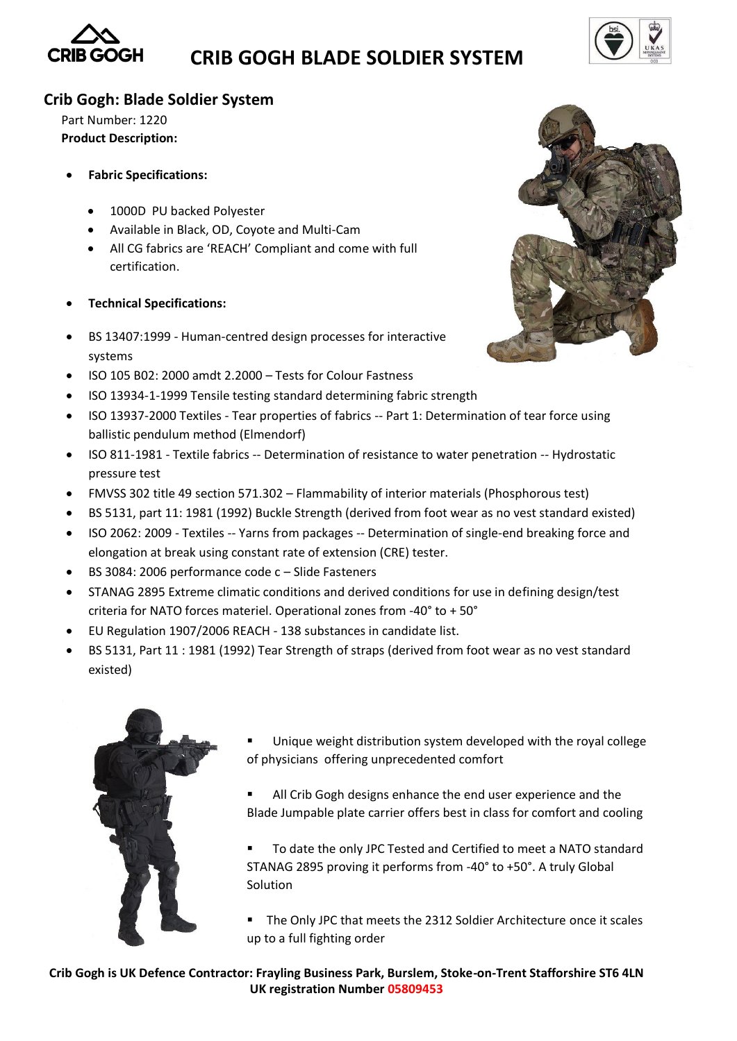

# **CRIB GOGH BLADE SOLDIER SYSTEM**



### **Crib Gogh: Blade Soldier System**

Part Number: 1220 **Product Description:** 

- **Fabric Specifications:**
	- 1000D PU backed Polyester
	- Available in Black, OD, Coyote and Multi-Cam
	- All CG fabrics are 'REACH' Compliant and come with full certification.
- **Technical Specifications:**
- BS 13407:1999 Human-centred design processes for interactive systems
- ISO 105 B02: 2000 amdt 2.2000 Tests for Colour Fastness
- ISO 13934-1-1999 Tensile testing standard determining fabric strength
- ISO 13937-2000 Textiles Tear properties of fabrics -- Part 1: Determination of tear force using ballistic pendulum method (Elmendorf)
- ISO 811-1981 Textile fabrics -- Determination of resistance to water penetration -- Hydrostatic pressure test
- FMVSS 302 title 49 section 571.302 Flammability of interior materials (Phosphorous test)
- BS 5131, part 11: 1981 (1992) Buckle Strength (derived from foot wear as no vest standard existed)
- ISO 2062: 2009 Textiles -- Yarns from packages -- Determination of single-end breaking force and elongation at break using constant rate of extension (CRE) tester.
- BS 3084: 2006 performance code c Slide Fasteners
- STANAG 2895 Extreme climatic conditions and derived conditions for use in defining design/test criteria for NATO forces materiel. Operational zones from -40° to + 50°
- EU Regulation 1907/2006 REACH 138 substances in candidate list.
- BS 5131, Part 11 : 1981 (1992) Tear Strength of straps (derived from foot wear as no vest standard existed)



- Unique weight distribution system developed with the royal college of physicians offering unprecedented comfort
- All Crib Gogh designs enhance the end user experience and the Blade Jumpable plate carrier offers best in class for comfort and cooling

 To date the only JPC Tested and Certified to meet a NATO standard STANAG 2895 proving it performs from -40° to +50°. A truly Global Solution

 The Only JPC that meets the 2312 Soldier Architecture once it scales up to a full fighting order

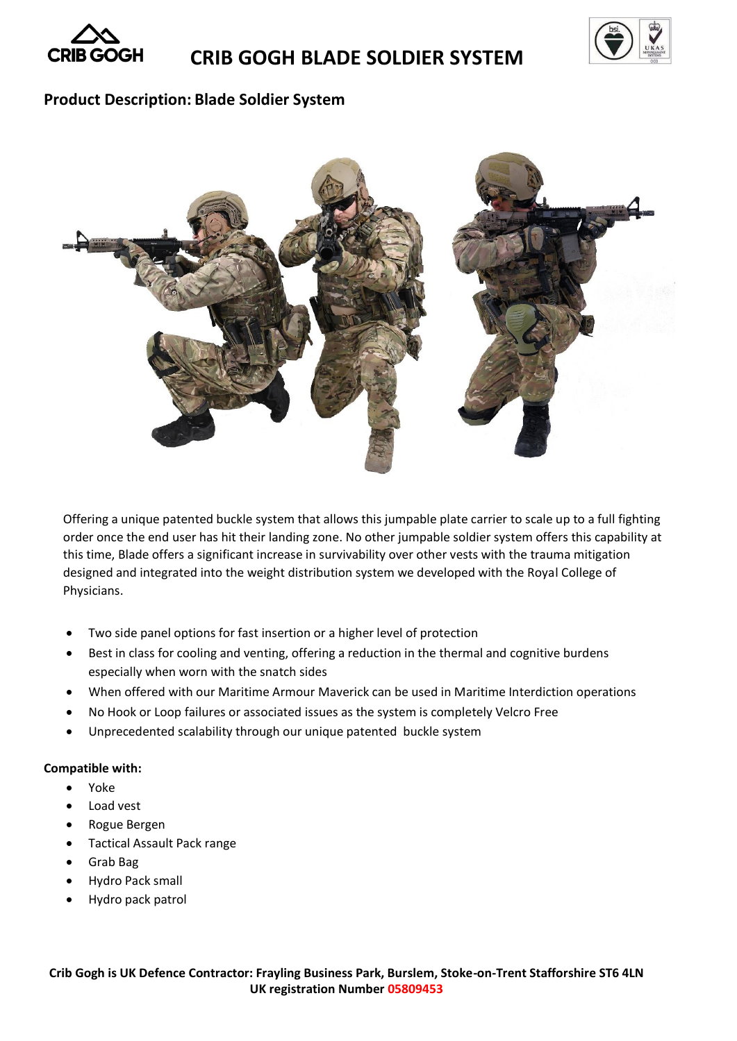

## **CRIB GOGH BLADE SOLDIER SYSTEM**



### **Product Description: Blade Soldier System**



Offering a unique patented buckle system that allows this jumpable plate carrier to scale up to a full fighting order once the end user has hit their landing zone. No other jumpable soldier system offers this capability at this time, Blade offers a significant increase in survivability over other vests with the trauma mitigation designed and integrated into the weight distribution system we developed with the Royal College of Physicians.

- Two side panel options for fast insertion or a higher level of protection
- Best in class for cooling and venting, offering a reduction in the thermal and cognitive burdens especially when worn with the snatch sides
- When offered with our Maritime Armour Maverick can be used in Maritime Interdiction operations
- No Hook or Loop failures or associated issues as the system is completely Velcro Free
- Unprecedented scalability through our unique patented buckle system

#### **Compatible with:**

- Yoke
- Load vest
- Rogue Bergen
- Tactical Assault Pack range
- Grab Bag
- Hydro Pack small
- Hydro pack patrol